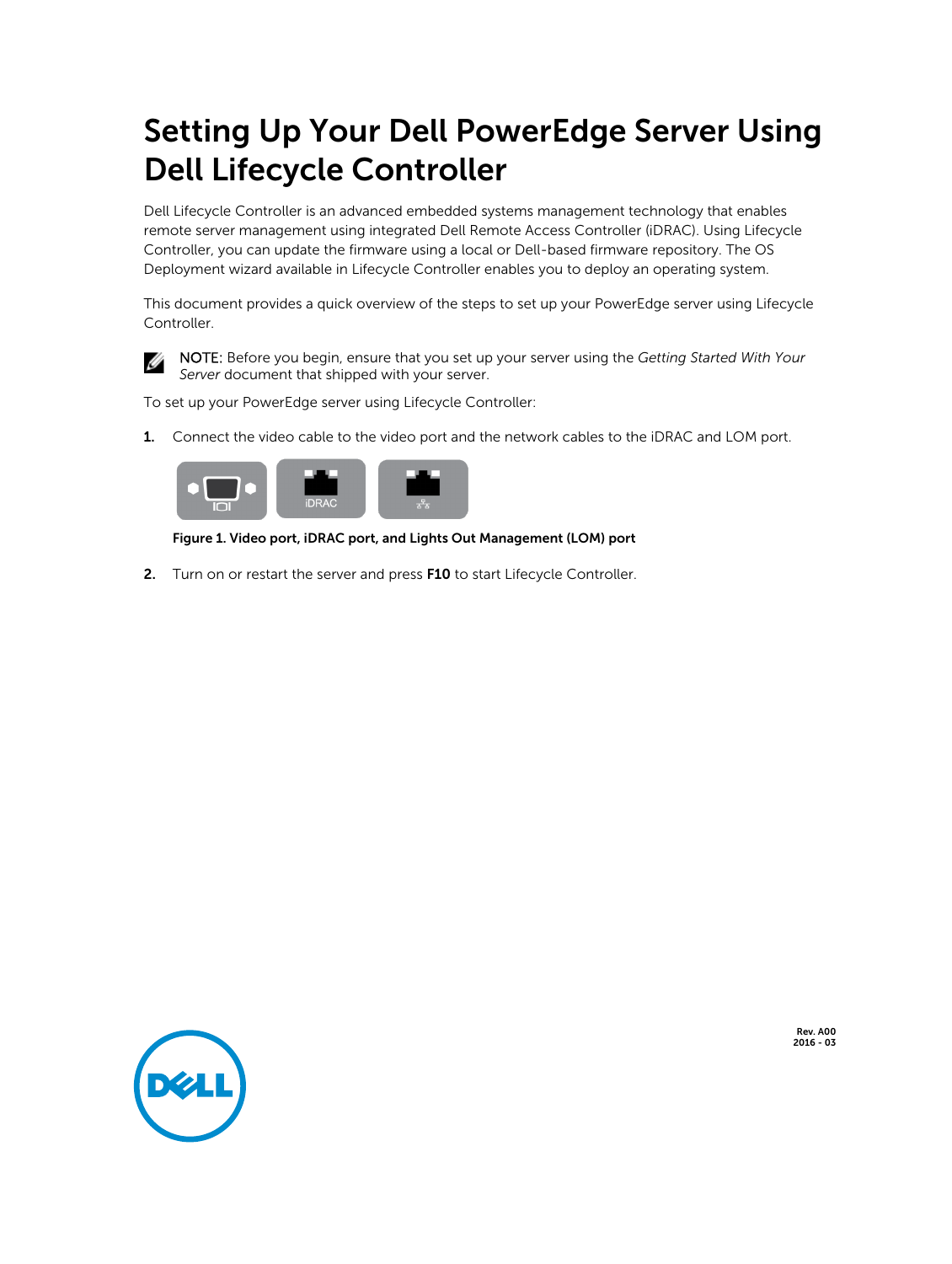# Setting Up Your Dell PowerEdge Server Using Dell Lifecycle Controller

Dell Lifecycle Controller is an advanced embedded systems management technology that enables remote server management using integrated Dell Remote Access Controller (iDRAC). Using Lifecycle Controller, you can update the firmware using a local or Dell-based firmware repository. The OS Deployment wizard available in Lifecycle Controller enables you to deploy an operating system.

This document provides a quick overview of the steps to set up your PowerEdge server using Lifecycle Controller.



NOTE: Before you begin, ensure that you set up your server using the *Getting Started With Your Server* document that shipped with your server.

To set up your PowerEdge server using Lifecycle Controller:

1. Connect the video cable to the video port and the network cables to the iDRAC and LOM port.



#### Figure 1. Video port, iDRAC port, and Lights Out Management (LOM) port

2. Turn on or restart the server and press F10 to start Lifecycle Controller.



Rev. A00 2016 - 03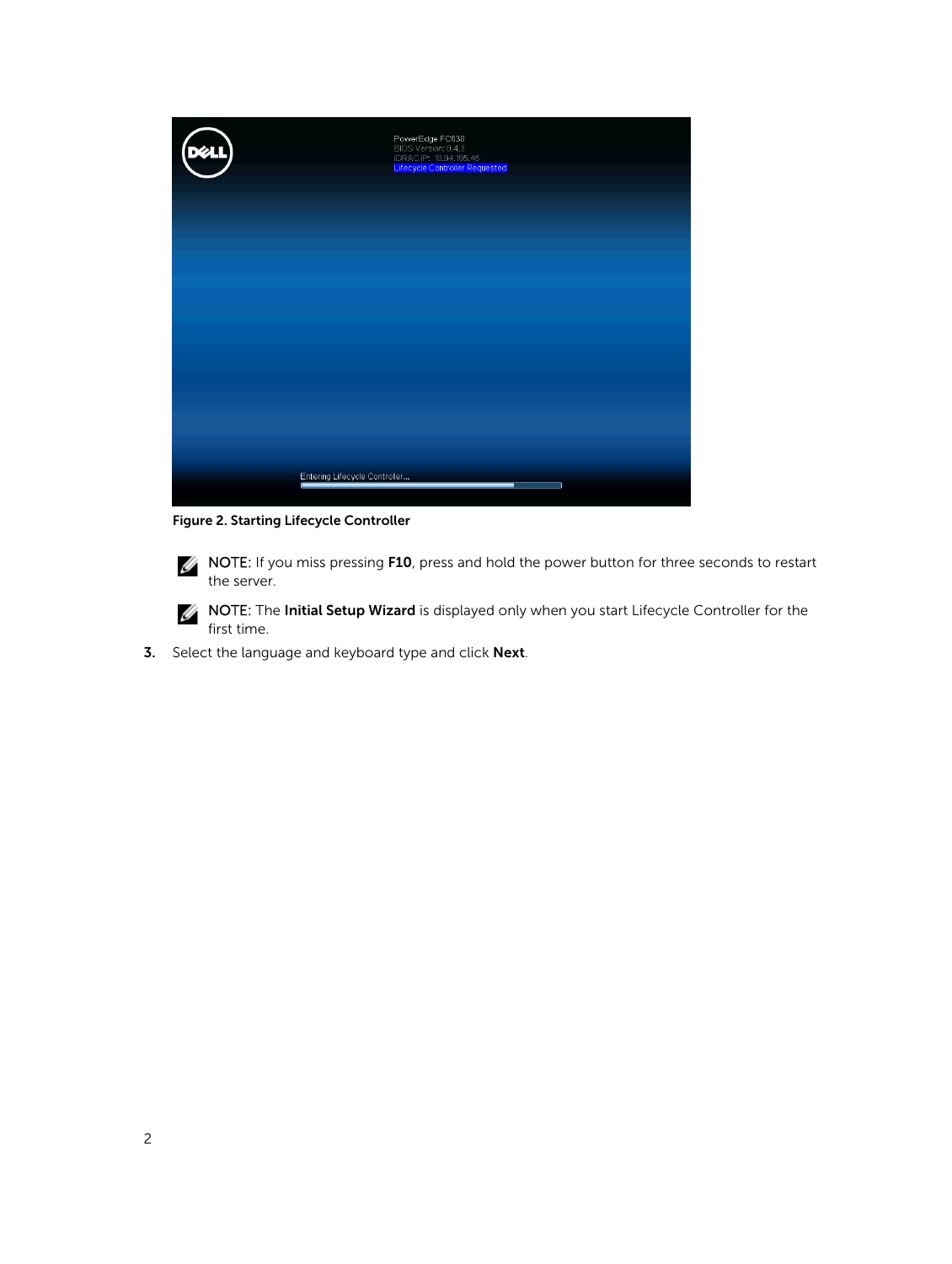| $\left(\bigcirc_{i=1}^{n} x_{i}\right)$ | PowerEdge FC630<br>BIOS Version: 0.4.3<br>iDRAC IP: 10.94.195.46<br><mark>Lifecycle Controller Requested</mark> |  |
|-----------------------------------------|-----------------------------------------------------------------------------------------------------------------|--|
|                                         |                                                                                                                 |  |
|                                         |                                                                                                                 |  |
|                                         |                                                                                                                 |  |
|                                         | Entering Lifecycle Controller                                                                                   |  |

Figure 2. Starting Lifecycle Controller

**NOTE:** If you miss pressing **F10**, press and hold the power button for three seconds to restart the server.

**NOTE:** The Initial Setup Wizard is displayed only when you start Lifecycle Controller for the first time.

3. Select the language and keyboard type and click Next.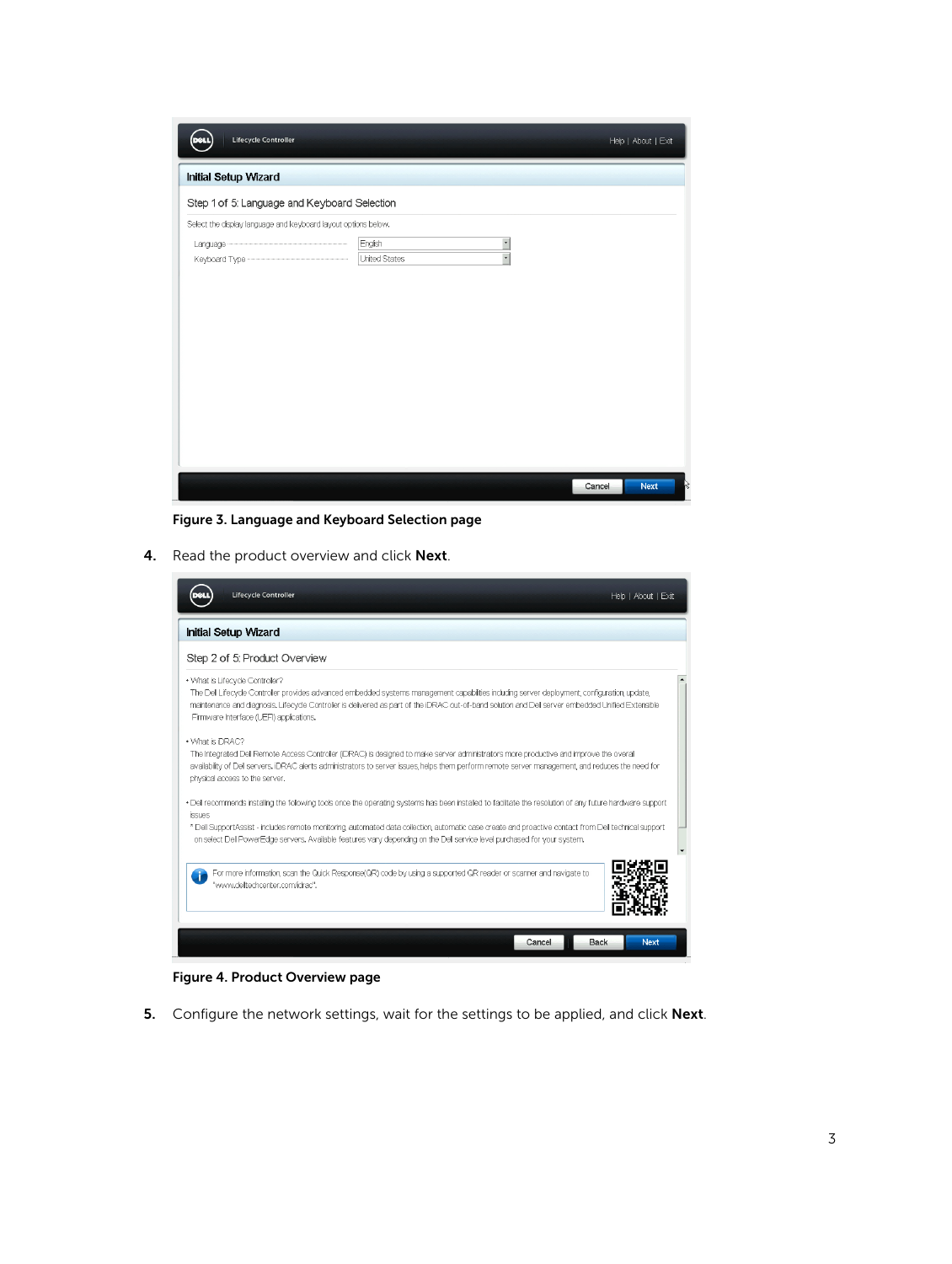| Lifecycle Controller<br>र वा                                   |                                                           | Help   About   Exit   |
|----------------------------------------------------------------|-----------------------------------------------------------|-----------------------|
| <b>Initial Setup Wizard</b>                                    |                                                           |                       |
| Step 1 of 5: Language and Keyboard Selection                   |                                                           |                       |
| Select the display language and keyboard layout options below. |                                                           |                       |
|                                                                | English<br>$\overline{\phantom{a}}$<br>÷<br>United States |                       |
|                                                                |                                                           |                       |
|                                                                |                                                           |                       |
|                                                                |                                                           |                       |
|                                                                |                                                           |                       |
|                                                                |                                                           |                       |
|                                                                |                                                           |                       |
|                                                                |                                                           |                       |
|                                                                |                                                           | <b>Next</b><br>Cancel |

Figure 3. Language and Keyboard Selection page

4. Read the product overview and click Next.

| Lifecycle Controller                                                                                                                                                                                                                                                                                                                                                                                                                                      | Help   About   Exit |
|-----------------------------------------------------------------------------------------------------------------------------------------------------------------------------------------------------------------------------------------------------------------------------------------------------------------------------------------------------------------------------------------------------------------------------------------------------------|---------------------|
| <b>Initial Setup Wizard</b>                                                                                                                                                                                                                                                                                                                                                                                                                               |                     |
| Step 2 of 5: Product Overview                                                                                                                                                                                                                                                                                                                                                                                                                             |                     |
| . What is Lifecycle Controller?<br>The Dell Lifecyde Controller provides advanced embedded systems management capabilities including server deployment, configuration, update,<br>maintenance and diagnosis. Lifecycle Controller is delivered as part of the iDRAC out-of-band solution and Dell server embedded Unified Extensible<br>Firmware Interface (UEFI) applications.                                                                           |                     |
| • What is IDRAC?<br>The Integrated Dell Remote Access Controller (IDRAC) is designed to make server administrators more productive and improve the overall<br>availability of Dell servers. DRAC alerts administrators to server issues, helps them perform remote server management, and reduces the need for<br>physical access to the server.                                                                                                          |                     |
| . Dell recommends installing the following tools once the operating systems has been installed to facilitate the resolution of any future hardware support<br>issues<br>* Dell SupportAssist - includes remote monitoring, automated data collection, automatic case create and proactive contact from Dell technical support<br>on select Dell PowerEdge servers. Available features vary depending on the Dell service level purchased for your system. |                     |
| For more information, scan the Quick Response(QR) code by using a supported QR reader or scanner and navigate to<br>"www.deltechcenter.com/idrac".                                                                                                                                                                                                                                                                                                        |                     |
| Cancel<br>Back                                                                                                                                                                                                                                                                                                                                                                                                                                            | <b>Next</b>         |

Figure 4. Product Overview page

5. Configure the network settings, wait for the settings to be applied, and click Next.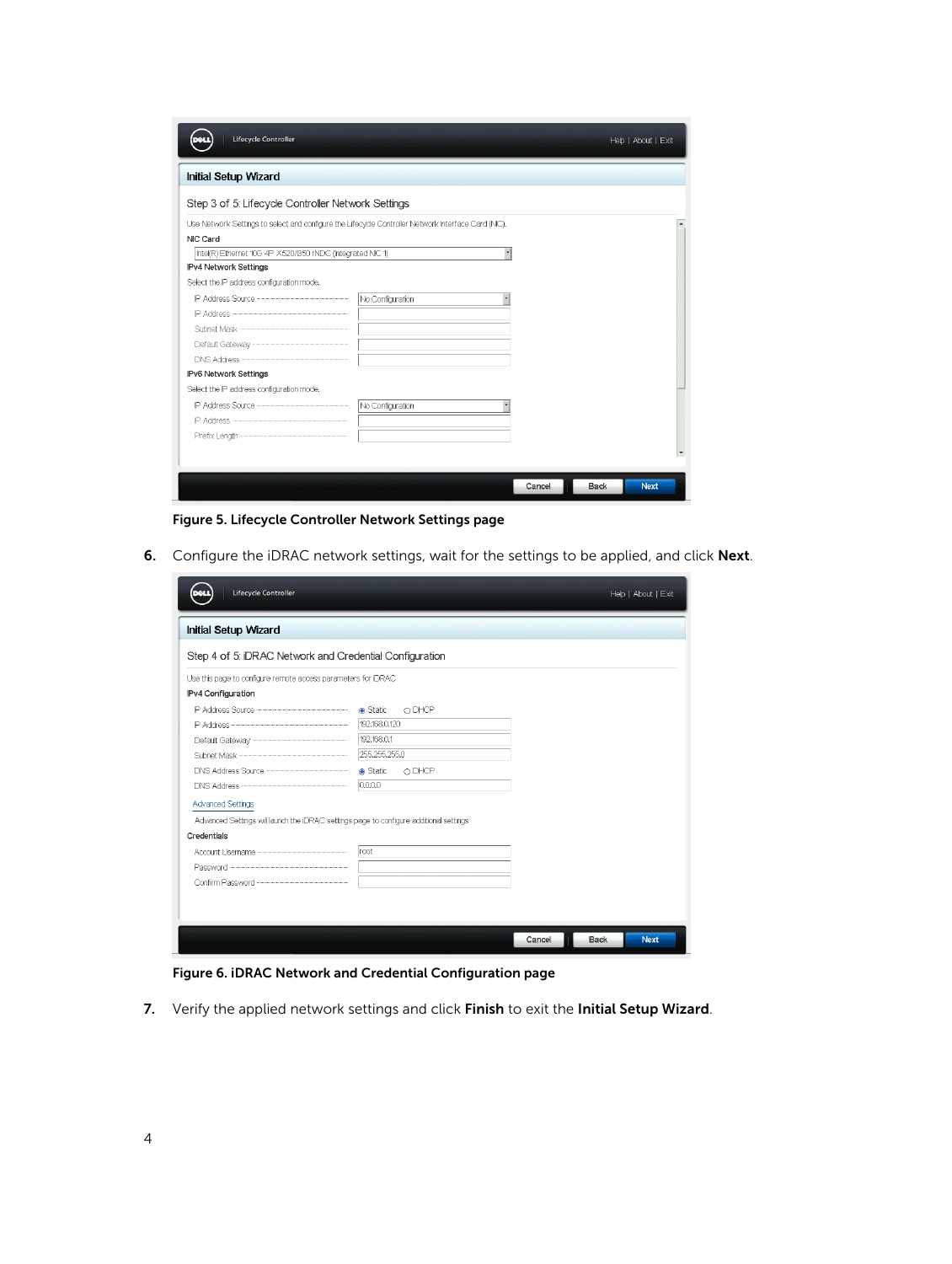| Lifecycle Controller                                                                               |                  |        |             | Help   About   Exit |
|----------------------------------------------------------------------------------------------------|------------------|--------|-------------|---------------------|
| <b>Initial Setup Wizard</b>                                                                        |                  |        |             |                     |
| Step 3 of 5: Lifecycle Controller Network Settings                                                 |                  |        |             |                     |
| Use Network Settings to select and configure the Lifecycle Controller Network Interface Card (NC), |                  |        |             |                     |
| NIC Card                                                                                           |                  |        |             |                     |
| Intel(R) Ethernet 10G 4P X520/1350 rNDC (Integrated NIC 1)                                         | ⊣                |        |             |                     |
| IPv4 Network Settings                                                                              |                  |        |             |                     |
| Select the IP address configuration mode,                                                          |                  |        |             |                     |
|                                                                                                    | No Configuration |        |             |                     |
|                                                                                                    |                  |        |             |                     |
|                                                                                                    |                  |        |             |                     |
|                                                                                                    |                  |        |             |                     |
|                                                                                                    |                  |        |             |                     |
| IPv6 Network Settings                                                                              |                  |        |             |                     |
| Select the IP address configuration mode.                                                          |                  |        |             |                     |
|                                                                                                    | No Configuration |        |             |                     |
|                                                                                                    |                  |        |             |                     |
|                                                                                                    |                  |        |             |                     |
|                                                                                                    |                  |        |             |                     |
|                                                                                                    |                  |        |             |                     |
|                                                                                                    |                  | Cancel | <b>Back</b> | <b>Next</b>         |

Figure 5. Lifecycle Controller Network Settings page

6. Configure the iDRAC network settings, wait for the settings to be applied, and click Next.

| Lifecycle Controller                                                                   |                  |        |             | Help   About   Exit |
|----------------------------------------------------------------------------------------|------------------|--------|-------------|---------------------|
| <b>Initial Setup Wizard</b>                                                            |                  |        |             |                     |
| Step 4 of 5: IDRAC Network and Credential Configuration                                |                  |        |             |                     |
| Use this page to configure remote access parameters for IDRAC                          |                  |        |             |                     |
| IPv4 Configuration                                                                     |                  |        |             |                     |
|                                                                                        | O DHCP           |        |             |                     |
|                                                                                        | 192,168,0,120    |        |             |                     |
|                                                                                        | 192,168,0.1      |        |             |                     |
|                                                                                        | 255,255,255,0    |        |             |                     |
|                                                                                        | Static<br>O DHCP |        |             |                     |
| DNS Address <b>CONSTRUCTER</b>                                                         | 0.0.0.0          |        |             |                     |
| <b>Advanced Settings</b>                                                               |                  |        |             |                     |
| Advanced Settings will launch the IDRAC settings page to configure additional settings |                  |        |             |                     |
| Credentials                                                                            |                  |        |             |                     |
|                                                                                        | root             |        |             |                     |
|                                                                                        |                  |        |             |                     |
|                                                                                        |                  |        |             |                     |
|                                                                                        |                  |        |             |                     |
|                                                                                        |                  |        |             |                     |
|                                                                                        |                  | Cancel | <b>Back</b> | <b>Next</b>         |

Figure 6. iDRAC Network and Credential Configuration page

7. Verify the applied network settings and click Finish to exit the Initial Setup Wizard.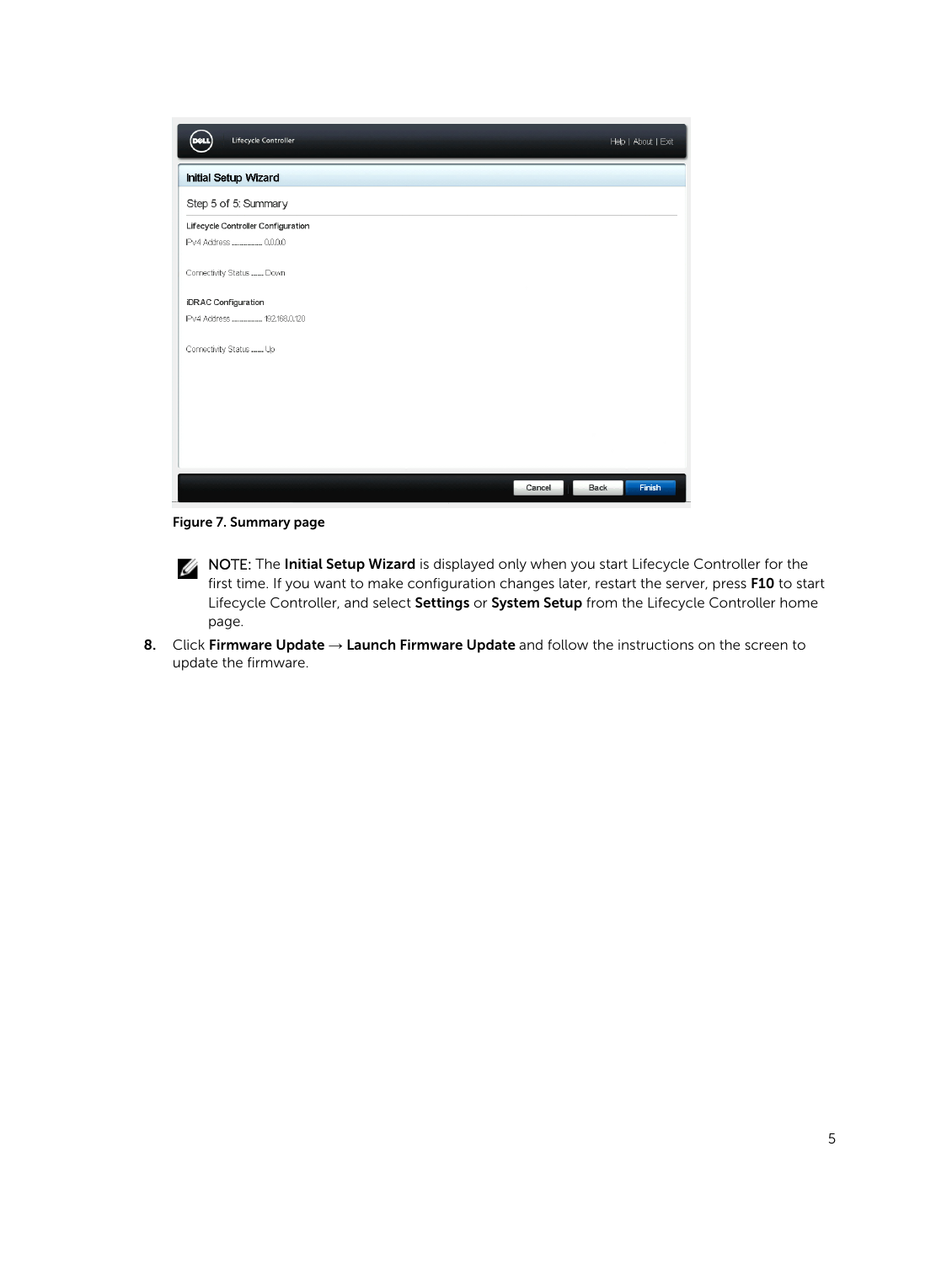| Lifecycle Controller               |        | Help   About   Exit   |
|------------------------------------|--------|-----------------------|
| <b>Initial Setup Wizard</b>        |        |                       |
| Step 5 of 5: Summary               |        |                       |
| Lifecycle Controller Configuration |        |                       |
| IPv4 Address  0.0.0.0              |        |                       |
| Connectivity Status  Down          |        |                       |
| <b>iDRAC Configuration</b>         |        |                       |
| IPv4 Address  192.168.0.120        |        |                       |
| Connectivity Status  Up            |        |                       |
|                                    |        |                       |
|                                    |        |                       |
|                                    |        |                       |
|                                    |        |                       |
|                                    |        |                       |
|                                    | Cancel | Finish<br><b>Back</b> |

Figure 7. Summary page

- NOTE: The Initial Setup Wizard is displayed only when you start Lifecycle Controller for the first time. If you want to make configuration changes later, restart the server, press F10 to start Lifecycle Controller, and select Settings or System Setup from the Lifecycle Controller home page.
- 8. Click Firmware Update  $\rightarrow$  Launch Firmware Update and follow the instructions on the screen to update the firmware.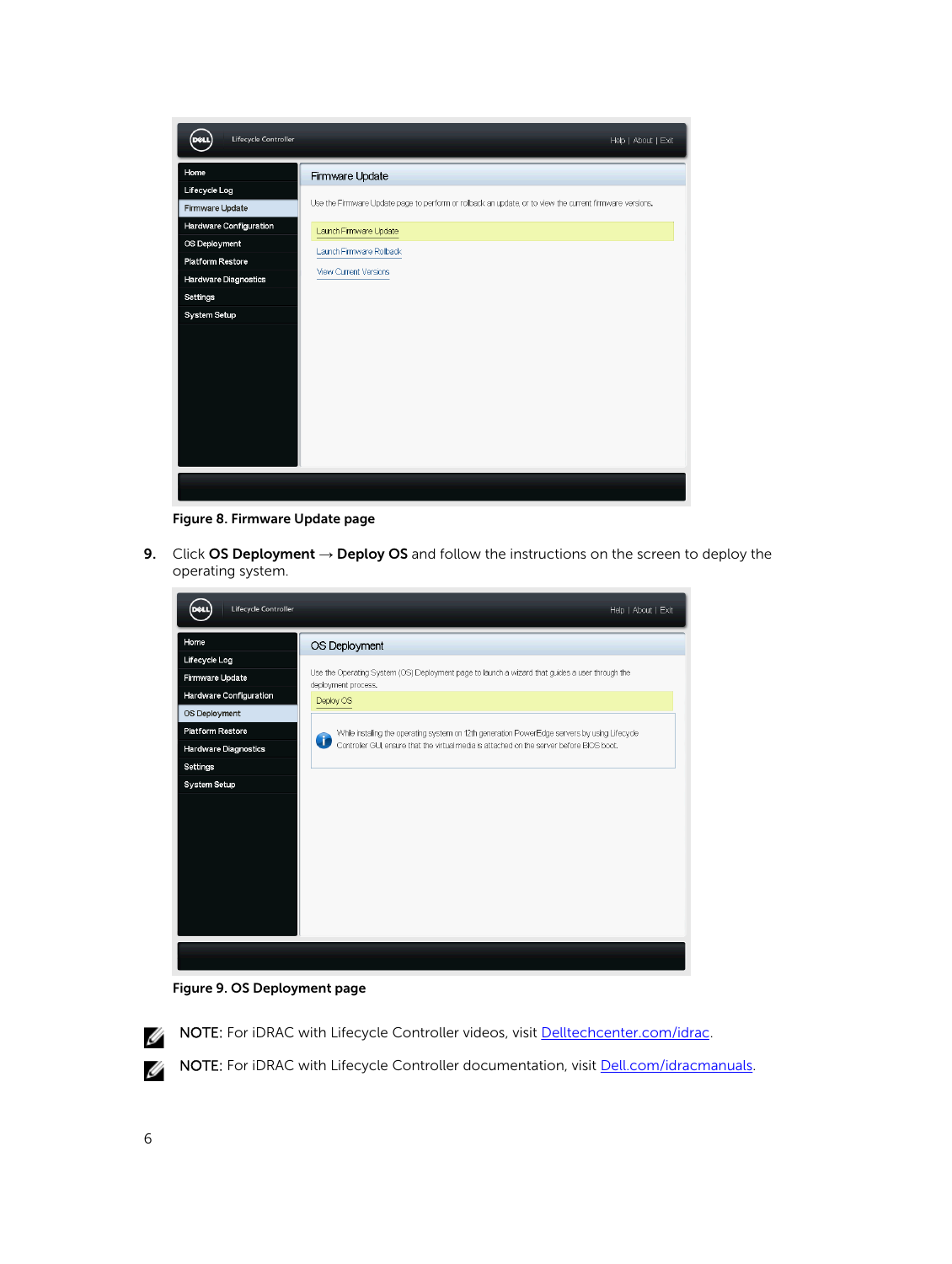

Figure 8. Firmware Update page

9. Click OS Deployment  $\rightarrow$  Deploy OS and follow the instructions on the screen to deploy the operating system.



Figure 9. OS Deployment page



NOTE: For iDRAC with Lifecycle Controller videos, visit [Delltechcenter.com/idrac](HTTP://EN.COMMUNITY.DELL.COM/TECHCENTER/SYSTEMS-MANAGEMENT/W/WIKI/3204).

NOTE: For iDRAC with Lifecycle Controller documentation, visit **[Dell.com/idracmanuals](HTTP://WWW.DELL.COM/SUPPORT/HOME/US/EN/19/PRODUCTS/SOFTWARE/REMOTE_ENT_SYS_MGMT/RMTE_ENT_SYS_RMTE_ACCESS_CNTRLLR).**